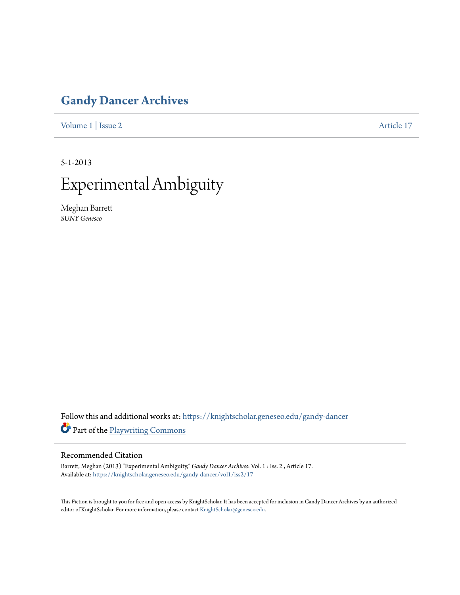# **[Gandy Dancer Archives](https://knightscholar.geneseo.edu/gandy-dancer?utm_source=knightscholar.geneseo.edu%2Fgandy-dancer%2Fvol1%2Fiss2%2F17&utm_medium=PDF&utm_campaign=PDFCoverPages)**

[Volume 1](https://knightscholar.geneseo.edu/gandy-dancer/vol1?utm_source=knightscholar.geneseo.edu%2Fgandy-dancer%2Fvol1%2Fiss2%2F17&utm_medium=PDF&utm_campaign=PDFCoverPages) | [Issue 2](https://knightscholar.geneseo.edu/gandy-dancer/vol1/iss2?utm_source=knightscholar.geneseo.edu%2Fgandy-dancer%2Fvol1%2Fiss2%2F17&utm_medium=PDF&utm_campaign=PDFCoverPages) [Article 17](https://knightscholar.geneseo.edu/gandy-dancer/vol1/iss2/17?utm_source=knightscholar.geneseo.edu%2Fgandy-dancer%2Fvol1%2Fiss2%2F17&utm_medium=PDF&utm_campaign=PDFCoverPages)

5-1-2013



Meghan Barrett *SUNY Geneseo*

Follow this and additional works at: [https://knightscholar.geneseo.edu/gandy-dancer](https://knightscholar.geneseo.edu/gandy-dancer?utm_source=knightscholar.geneseo.edu%2Fgandy-dancer%2Fvol1%2Fiss2%2F17&utm_medium=PDF&utm_campaign=PDFCoverPages) Part of the [Playwriting Commons](http://network.bepress.com/hgg/discipline/557?utm_source=knightscholar.geneseo.edu%2Fgandy-dancer%2Fvol1%2Fiss2%2F17&utm_medium=PDF&utm_campaign=PDFCoverPages)

# Recommended Citation

Barrett, Meghan (2013) "Experimental Ambiguity," *Gandy Dancer Archives*: Vol. 1 : Iss. 2 , Article 17. Available at: [https://knightscholar.geneseo.edu/gandy-dancer/vol1/iss2/17](https://knightscholar.geneseo.edu/gandy-dancer/vol1/iss2/17?utm_source=knightscholar.geneseo.edu%2Fgandy-dancer%2Fvol1%2Fiss2%2F17&utm_medium=PDF&utm_campaign=PDFCoverPages)

This Fiction is brought to you for free and open access by KnightScholar. It has been accepted for inclusion in Gandy Dancer Archives by an authorized editor of KnightScholar. For more information, please contact [KnightScholar@geneseo.edu.](mailto:KnightScholar@geneseo.edu)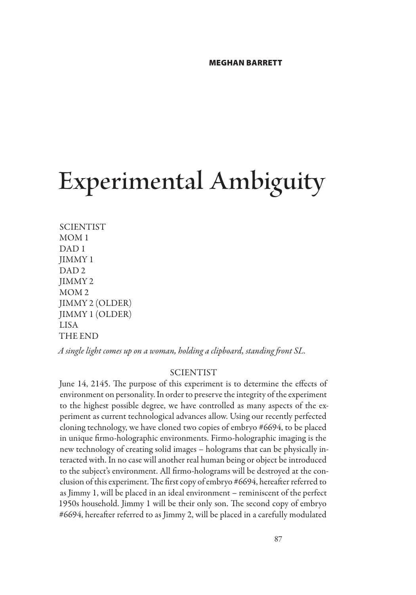# **Experimental Ambiguity**

**SCIENTIST** MOM 1 DAD 1 JIMMY 1 DAD 2 JIMMY 2 MOM 2 JIMMY 2 (OLDER) JIMMY 1 (OLDER) LISA THE END

*A single light comes up on a woman, holding a clipboard, standing front SL.*

# **SCIENTIST**

June 14, 2145. The purpose of this experiment is to determine the effects of environment on personality. In order to preserve the integrity of the experiment to the highest possible degree, we have controlled as many aspects of the experiment as current technological advances allow. Using our recently perfected cloning technology, we have cloned two copies of embryo #6694, to be placed in unique firmo-holographic environments. Firmo-holographic imaging is the new technology of creating solid images – holograms that can be physically interacted with. In no case will another real human being or object be introduced to the subject's environment. All firmo-holograms will be destroyed at the conclusion of this experiment. The first copy of embryo #6694, hereafter referred to as Jimmy 1, will be placed in an ideal environment – reminiscent of the perfect 1950s household. Jimmy 1 will be their only son. The second copy of embryo #6694, hereafter referred to as Jimmy 2, will be placed in a carefully modulated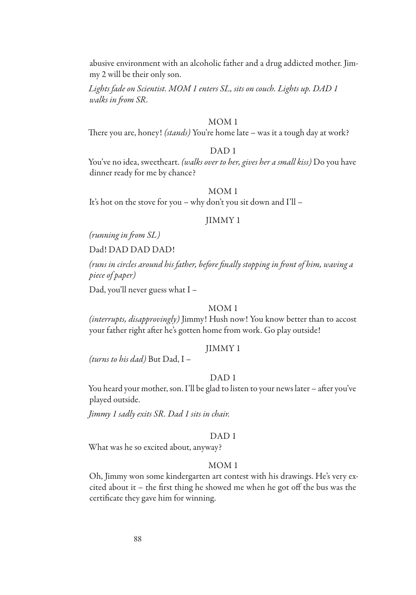abusive environment with an alcoholic father and a drug addicted mother. Jimmy 2 will be their only son.

*Lights fade on Scientist. MOM 1 enters SL, sits on couch. Lights up. DAD 1 walks in from SR.*

# MOM 1

There you are, honey! *(stands)* You're home late – was it a tough day at work?

# DAD 1

You've no idea, sweetheart. *(walks over to her, gives her a small kiss)* Do you have dinner ready for me by chance?

# MOM 1

It's hot on the stove for you – why don't you sit down and I'll –

# JIMMY 1

*(running in from SL)*

Dad! DAD DAD DAD!

*(runs in circles around his father, before finally stopping in front of him, waving a piece of paper)*

Dad, you'll never guess what I –

# MOM 1

*(interrupts, disapprovingly)* Jimmy! Hush now! You know better than to accost your father right after he's gotten home from work. Go play outside!

# JIMMY 1

*(turns to his dad)* But Dad, I –

#### DAD 1

You heard your mother, son. I'll be glad to listen to your news later – after you've played outside.

*Jimmy 1 sadly exits SR. Dad 1 sits in chair.*

# DAD 1

What was he so excited about, anyway?

### MOM 1

Oh, Jimmy won some kindergarten art contest with his drawings. He's very excited about it – the first thing he showed me when he got off the bus was the certificate they gave him for winning.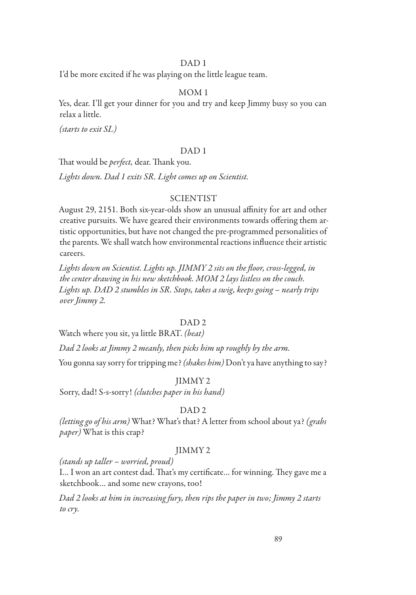# DAD 1

I'd be more excited if he was playing on the little league team.

#### MOM 1

Yes, dear. I'll get your dinner for you and try and keep Jimmy busy so you can relax a little.

*(starts to exit SL)*

# DAD 1

That would be *perfect,* dear. Thank you.

*Lights down. Dad 1 exits SR. Light comes up on Scientist.*

#### **SCIENTIST**

August 29, 2151. Both six-year-olds show an unusual affinity for art and other creative pursuits. We have geared their environments towards offering them artistic opportunities, but have not changed the pre-programmed personalities of the parents. We shall watch how environmental reactions influence their artistic careers.

*Lights down on Scientist. Lights up. JIMMY 2 sits on the floor, cross-legged, in the center drawing in his new sketchbook. MOM 2 lays listless on the couch. Lights up. DAD 2 stumbles in SR. Stops, takes a swig, keeps going – nearly trips over Jimmy 2.*

# DAD<sub>2</sub>

Watch where you sit, ya little BRAT. *(beat)*

*Dad 2 looks at Jimmy 2 meanly, then picks him up roughly by the arm.*

You gonna say sorry for tripping me? *(shakes him)* Don't ya have anything to say?

### JIMMY 2

Sorry, dad! S-s-sorry! *(clutches paper in his hand)*

### DAD 2

*(letting go of his arm)* What? What's that? A letter from school about ya? *(grabs paper)* What is this crap?

### JIMMY 2

*(stands up taller – worried, proud)*

I… I won an art contest dad. That's my certificate… for winning. They gave me a sketchbook… and some new crayons, too!

*Dad 2 looks at him in increasing fury, then rips the paper in two; Jimmy 2 starts to cry.*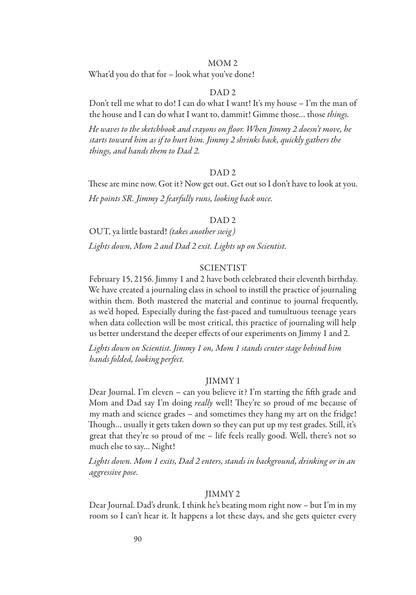#### MOM 2

What'd you do that for – look what you've done!

#### DAD 2

Don't tell me what to do! I can do what I want! It's my house – I'm the man of the house and I can do what I want to, dammit! Gimme those… those *things.*

*He waves to the sketchbook and crayons on floor. When Jimmy 2 doesn't move, he starts toward him as if to hurt him. Jimmy 2 shrinks back, quickly gathers the things, and hands them to Dad 2.*

#### DAD 2

These are mine now. Got it? Now get out. Get out so I don't have to look at you. *He points SR. Jimmy 2 fearfully runs, looking back once.*

#### DAD 2

OUT, ya little bastard! *(takes another swig) Lights down, Mom 2 and Dad 2 exit. Lights up on Scientist.*

# **SCIENTIST**

February 15, 2156. Jimmy 1 and 2 have both celebrated their eleventh birthday. We have created a journaling class in school to instill the practice of journaling within them. Both mastered the material and continue to journal frequently, as we'd hoped. Especially during the fast-paced and tumultuous teenage years when data collection will be most critical, this practice of journaling will help us better understand the deeper effects of our experiments on Jimmy 1 and 2.

*Lights down on Scientist. Jimmy 1 on, Mom 1 stands center stage behind him hands folded, looking perfect.*

#### JIMMY 1

Dear Journal. I'm eleven – can you believe it? I'm starting the fifth grade and Mom and Dad say I'm doing *really* well! They're so proud of me because of my math and science grades – and sometimes they hang my art on the fridge! Though… usually it gets taken down so they can put up my test grades. Still, it's great that they're so proud of me – life feels really good. Well, there's not so much else to say… Night!

*Lights down. Mom 1 exits, Dad 2 enters, stands in background, drinking or in an aggressive pose.*

#### JIMMY 2

Dear Journal. Dad's drunk. I think he's beating mom right now – but I'm in my room so I can't hear it. It happens a lot these days, and she gets quieter every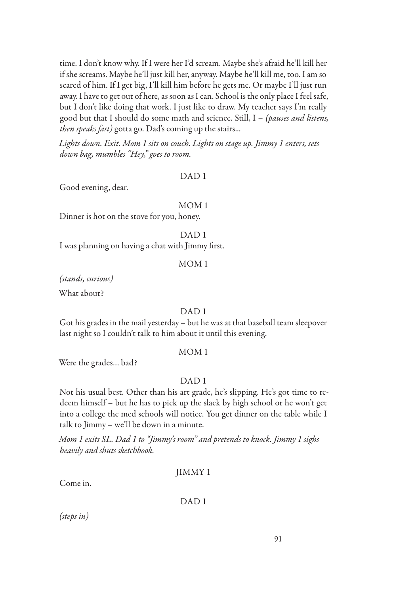time. I don't know why. If I were her I'd scream. Maybe she's afraid he'll kill her if she screams. Maybe he'll just kill her, anyway. Maybe he'll kill me, too. I am so scared of him. If I get big, I'll kill him before he gets me. Or maybe I'll just run away. I have to get out of here, as soon as I can. School is the only place I feel safe, but I don't like doing that work. I just like to draw. My teacher says I'm really good but that I should do some math and science. Still, I – *(pauses and listens, then speaks fast)* gotta go. Dad's coming up the stairs...

*Lights down. Exit. Mom 1 sits on couch. Lights on stage up. Jimmy 1 enters, sets down bag, mumbles "Hey," goes to room.*

#### DAD 1

Good evening, dear.

#### MOM 1

Dinner is hot on the stove for you, honey.

DAD 1

I was planning on having a chat with Jimmy first.

#### MOM 1

*(stands, curious)*

What about?

#### DAD 1

Got his grades in the mail yesterday – but he was at that baseball team sleepover last night so I couldn't talk to him about it until this evening.

# MOM 1

Were the grades… bad?

#### DAD<sub>1</sub>

Not his usual best. Other than his art grade, he's slipping. He's got time to redeem himself – but he has to pick up the slack by high school or he won't get into a college the med schools will notice. You get dinner on the table while I talk to Jimmy – we'll be down in a minute.

*Mom 1 exits SL. Dad 1 to "Jimmy's room" and pretends to knock. Jimmy 1 sighs heavily and shuts sketchbook.*

# JIMMY 1

Come in.

#### DAD 1

*(steps in)*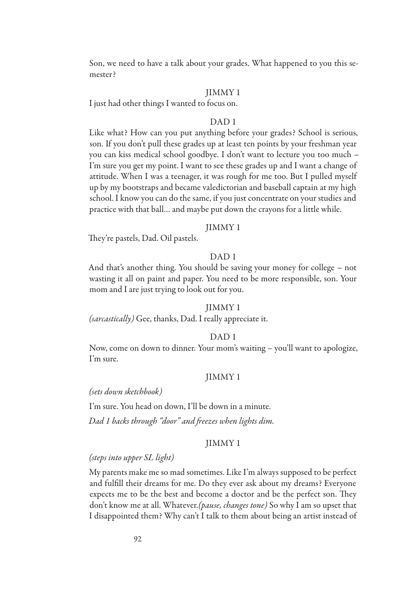Son, we need to have a talk about your grades. What happened to you this semester?

#### JIMMY 1

I just had other things I wanted to focus on.

#### DAD 1

Like what? How can you put anything before your grades? School is serious, son. If you don't pull these grades up at least ten points by your freshman year you can kiss medical school goodbye. I don't want to lecture you too much – I'm sure you get my point. I want to see these grades up and I want a change of attitude. When I was a teenager, it was rough for me too. But I pulled myself up by my bootstraps and became valedictorian and baseball captain at my high school. I know you can do the same, if you just concentrate on your studies and practice with that ball… and maybe put down the crayons for a little while.

#### JIMMY 1

They're pastels, Dad. Oil pastels.

# DAD 1

And that's another thing. You should be saving your money for college – not wasting it all on paint and paper. You need to be more responsible, son. Your mom and I are just trying to look out for you.

#### JIMMY 1

*(sarcastically)* Gee, thanks, Dad. I really appreciate it.

#### DAD 1

Now, come on down to dinner. Your mom's waiting – you'll want to apologize, I'm sure.

#### JIMMY 1

*(sets down sketchbook)*

I'm sure. You head on down, I'll be down in a minute.

*Dad 1 backs through "door" and freezes when lights dim.*

# JIMMY 1

#### *(steps into upper SL light)*

My parents make me so mad sometimes. Like I'm always supposed to be perfect and fulfill their dreams for me. Do they ever ask about my dreams? Everyone expects me to be the best and become a doctor and be the perfect son. They don't know me at all. Whatever.*(pause, changes tone)* So why I am so upset that I disappointed them? Why can't I talk to them about being an artist instead of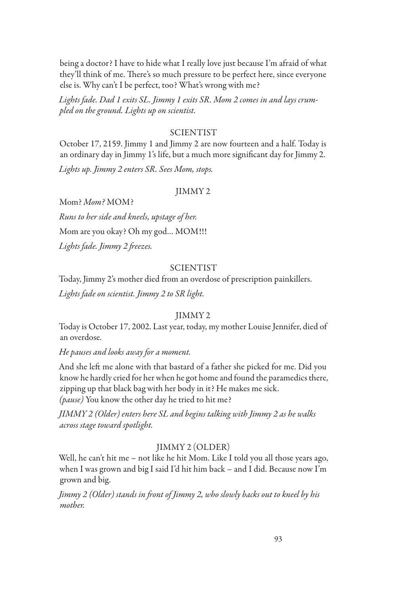being a doctor? I have to hide what I really love just because I'm afraid of what they'll think of me. There's so much pressure to be perfect here, since everyone else is. Why can't I be perfect, too? What's wrong with me?

*Lights fade. Dad 1 exits SL. Jimmy 1 exits SR. Mom 2 comes in and lays crumpled on the ground. Lights up on scientist.*

# SCIENTIST

October 17, 2159. Jimmy 1 and Jimmy 2 are now fourteen and a half. Today is an ordinary day in Jimmy 1's life, but a much more significant day for Jimmy 2.

*Lights up. Jimmy 2 enters SR. Sees Mom, stops.*

### JIMMY 2

Mom? *Mom?* MOM? *Runs to her side and kneels, upstage of her.* Mom are you okay? Oh my god… MOM!!! *Lights fade. Jimmy 2 freezes.*

# **SCIENTIST**

Today, Jimmy 2's mother died from an overdose of prescription painkillers. *Lights fade on scientist. Jimmy 2 to SR light.*

#### JIMMY 2

Today is October 17, 2002. Last year, today, my mother Louise Jennifer, died of an overdose.

#### *He pauses and looks away for a moment.*

And she left me alone with that bastard of a father she picked for me. Did you know he hardly cried for her when he got home and found the paramedics there, zipping up that black bag with her body in it? He makes me sick. *(pause)* You know the other day he tried to hit me?

*JIMMY 2 (Older) enters here SL and begins talking with Jimmy 2 as he walks across stage toward spotlight.*

#### JIMMY 2 (OLDER)

Well, he can't hit me – not like he hit Mom. Like I told you all those years ago, when I was grown and big I said I'd hit him back – and I did. Because now I'm grown and big.

*Jimmy 2 (Older) stands in front of Jimmy 2, who slowly backs out to kneel by his mother.*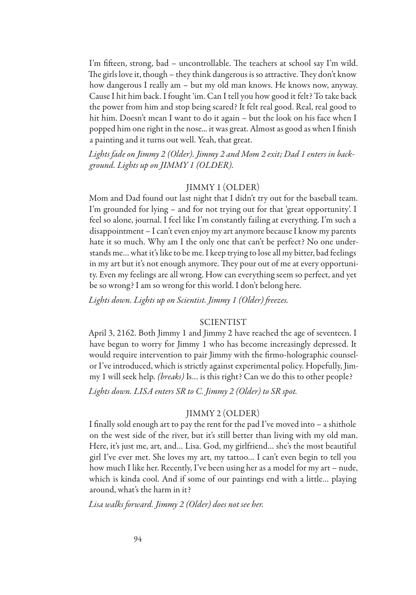I'm fifteen, strong, bad – uncontrollable. The teachers at school say I'm wild. The girls love it, though – they think dangerous is so attractive. They don't know how dangerous I really am – but my old man knows. He knows now, anyway. Cause I hit him back. I fought 'im. Can I tell you how good it felt? To take back the power from him and stop being scared? It felt real good. Real, real good to hit him. Doesn't mean I want to do it again – but the look on his face when I popped him one right in the nose... it was great. Almost as good as when I finish a painting and it turns out well. Yeah, that great.

*Lights fade on Jimmy 2 (Older). Jimmy 2 and Mom 2 exit; Dad 1 enters in background. Lights up on JIMMY 1 (OLDER).*

# JIMMY 1 (OLDER)

Mom and Dad found out last night that I didn't try out for the baseball team. I'm grounded for lying – and for not trying out for that 'great opportunity'. I feel so alone, journal. I feel like I'm constantly failing at everything. I'm such a disappointment – I can't even enjoy my art anymore because I know my parents hate it so much. Why am I the only one that can't be perfect? No one understands me… what it's like to be me. I keep trying to lose all my bitter, bad feelings in my art but it's not enough anymore. They pour out of me at every opportunity. Even my feelings are all wrong. How can everything seem so perfect, and yet be so wrong? I am so wrong for this world. I don't belong here.

*Lights down. Lights up on Scientist. Jimmy 1 (Older) freezes.*

# SCIENTIST

April 3, 2162. Both Jimmy 1 and Jimmy 2 have reached the age of seventeen. I have begun to worry for Jimmy 1 who has become increasingly depressed. It would require intervention to pair Jimmy with the firmo-holographic counselor I've introduced, which is strictly against experimental policy. Hopefully, Jimmy 1 will seek help. *(breaks)* Is… is this right? Can we do this to other people?

*Lights down. LISA enters SR to C. Jimmy 2 (Older) to SR spot.*

# JIMMY 2 (OLDER)

I finally sold enough art to pay the rent for the pad I've moved into – a shithole on the west side of the river, but it's still better than living with my old man. Here, it's just me, art, and… Lisa. God, my girlfriend… she's the most beautiful girl I've ever met. She loves my art, my tattoo… I can't even begin to tell you how much I like her. Recently, I've been using her as a model for my art – nude, which is kinda cool. And if some of our paintings end with a little… playing around, what's the harm in it?

*Lisa walks forward. Jimmy 2 (Older) does not see her.*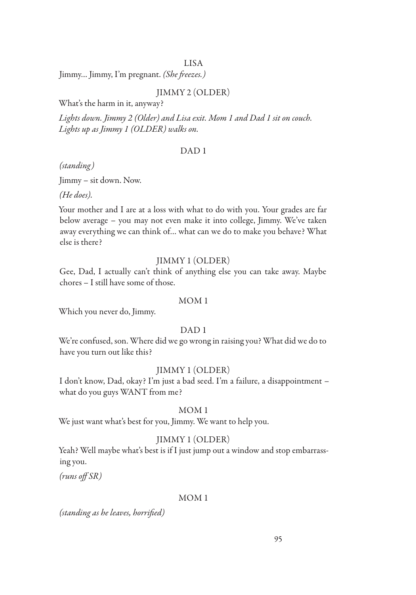# LISA

Jimmy… Jimmy, I'm pregnant. *(She freezes.)*

# JIMMY 2 (OLDER)

What's the harm in it, anyway?

*Lights down. Jimmy 2 (Older) and Lisa exit. Mom 1 and Dad 1 sit on couch. Lights up as Jimmy 1 (OLDER) walks on.*

#### DAD 1

*(standing)*

Jimmy – sit down. Now.

*(He does).*

Your mother and I are at a loss with what to do with you. Your grades are far below average – you may not even make it into college, Jimmy. We've taken away everything we can think of… what can we do to make you behave? What else is there?

# JIMMY 1 (OLDER)

Gee, Dad, I actually can't think of anything else you can take away. Maybe chores – I still have some of those.

#### MOM 1

Which you never do, Jimmy.

# DAD<sub>1</sub>

We're confused, son. Where did we go wrong in raising you? What did we do to have you turn out like this?

### JIMMY 1 (OLDER)

I don't know, Dad, okay? I'm just a bad seed. I'm a failure, a disappointment – what do you guys WANT from me?

#### MOM 1

We just want what's best for you, Jimmy. We want to help you.

# JIMMY 1 (OLDER)

Yeah? Well maybe what's best is if I just jump out a window and stop embarrassing you.

*(runs off SR)*

#### MOM 1

*(standing as he leaves, horrified)*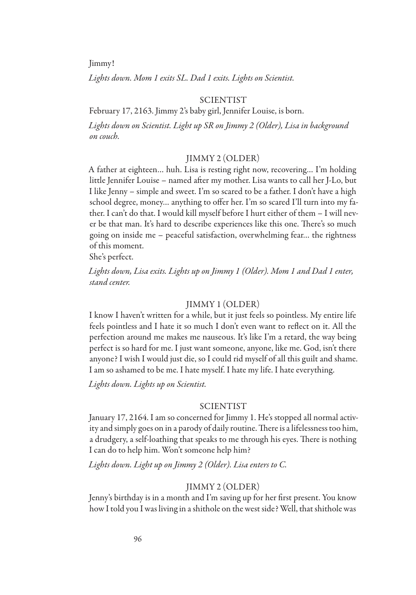Jimmy!

*Lights down. Mom 1 exits SL. Dad 1 exits. Lights on Scientist.*

#### SCIENTIST

February 17, 2163. Jimmy 2's baby girl, Jennifer Louise, is born.

*Lights down on Scientist. Light up SR on Jimmy 2 (Older), Lisa in background on couch.*

# JIMMY 2 (OLDER)

A father at eighteen… huh. Lisa is resting right now, recovering… I'm holding little Jennifer Louise – named after my mother. Lisa wants to call her J-Lo, but I like Jenny – simple and sweet. I'm so scared to be a father. I don't have a high school degree, money… anything to offer her. I'm so scared I'll turn into my father. I can't do that. I would kill myself before I hurt either of them – I will never be that man. It's hard to describe experiences like this one. There's so much going on inside me – peaceful satisfaction, overwhelming fear… the rightness of this moment.

She's perfect.

*Lights down, Lisa exits. Lights up on Jimmy 1 (Older). Mom 1 and Dad 1 enter, stand center.*

# JIMMY 1 (OLDER)

I know I haven't written for a while, but it just feels so pointless. My entire life feels pointless and I hate it so much I don't even want to reflect on it. All the perfection around me makes me nauseous. It's like I'm a retard, the way being perfect is so hard for me. I just want someone, anyone, like me. God, isn't there anyone? I wish I would just die, so I could rid myself of all this guilt and shame. I am so ashamed to be me. I hate myself. I hate my life. I hate everything.

*Lights down. Lights up on Scientist.*

# **SCIENTIST**

January 17, 2164. I am so concerned for Jimmy 1. He's stopped all normal activity and simply goes on in a parody of daily routine. There is a lifelessness too him, a drudgery, a self-loathing that speaks to me through his eyes. There is nothing I can do to help him. Won't someone help him?

*Lights down. Light up on Jimmy 2 (Older). Lisa enters to C.*

#### JIMMY 2 (OLDER)

Jenny's birthday is in a month and I'm saving up for her first present. You know how I told you I was living in a shithole on the west side? Well, that shithole was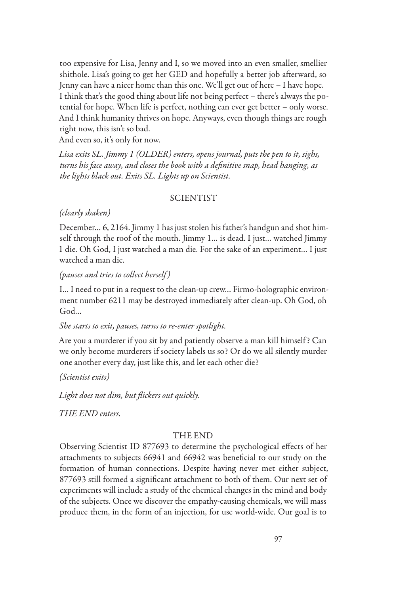too expensive for Lisa, Jenny and I, so we moved into an even smaller, smellier shithole. Lisa's going to get her GED and hopefully a better job afterward, so Jenny can have a nicer home than this one. We'll get out of here – I have hope. I think that's the good thing about life not being perfect – there's always the potential for hope. When life is perfect, nothing can ever get better – only worse. And I think humanity thrives on hope. Anyways, even though things are rough right now, this isn't so bad.

And even so, it's only for now.

*Lisa exits SL. Jimmy 1 (OLDER) enters, opens journal, puts the pen to it, sighs, turns his face away, and closes the book with a definitive snap, head hanging, as the lights black out. Exits SL. Lights up on Scientist.*

# SCIENTIST

#### *(clearly shaken)*

December… 6, 2164. Jimmy 1 has just stolen his father's handgun and shot himself through the roof of the mouth. Jimmy 1… is dead. I just… watched Jimmy 1 die. Oh God, I just watched a man die. For the sake of an experiment… I just watched a man die.

#### *(pauses and tries to collect herself )*

I… I need to put in a request to the clean-up crew… Firmo-holographic environment number 6211 may be destroyed immediately after clean-up. Oh God, oh God…

# *She starts to exit, pauses, turns to re-enter spotlight.*

Are you a murderer if you sit by and patiently observe a man kill himself ? Can we only become murderers if society labels us so? Or do we all silently murder one another every day, just like this, and let each other die?

#### *(Scientist exits)*

*Light does not dim, but flickers out quickly.*

*THE END enters.*

# THE END

Observing Scientist ID 877693 to determine the psychological effects of her attachments to subjects 66941 and 66942 was beneficial to our study on the formation of human connections. Despite having never met either subject, 877693 still formed a significant attachment to both of them. Our next set of experiments will include a study of the chemical changes in the mind and body of the subjects. Once we discover the empathy-causing chemicals, we will mass produce them, in the form of an injection, for use world-wide. Our goal is to